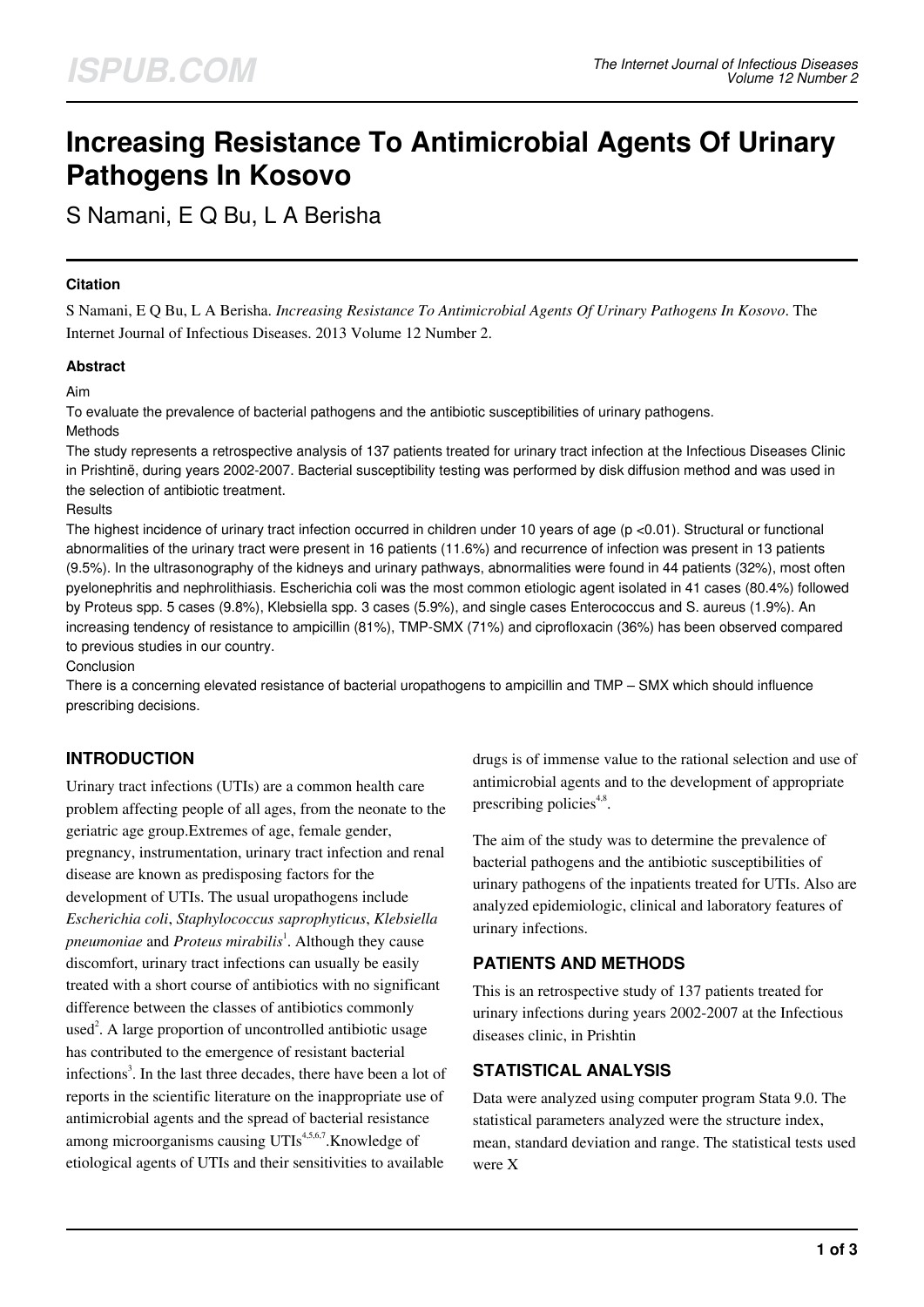# **Increasing Resistance To Antimicrobial Agents Of Urinary Pathogens In Kosovo**

S Namani, E Q Bu, L A Berisha

## **Citation**

S Namani, E Q Bu, L A Berisha. *Increasing Resistance To Antimicrobial Agents Of Urinary Pathogens In Kosovo*. The Internet Journal of Infectious Diseases. 2013 Volume 12 Number 2.

## **Abstract**

## Aim

To evaluate the prevalence of bacterial pathogens and the antibiotic susceptibilities of urinary pathogens. Methods

The study represents a retrospective analysis of 137 patients treated for urinary tract infection at the Infectious Diseases Clinic in Prishtinë, during years 2002-2007. Bacterial susceptibility testing was performed by disk diffusion method and was used in the selection of antibiotic treatment.

#### **Results**

The highest incidence of urinary tract infection occurred in children under 10 years of age (p <0.01). Structural or functional abnormalities of the urinary tract were present in 16 patients (11.6%) and recurrence of infection was present in 13 patients (9.5%). In the ultrasonography of the kidneys and urinary pathways, abnormalities were found in 44 patients (32%), most often pyelonephritis and nephrolithiasis. Escherichia coli was the most common etiologic agent isolated in 41 cases (80.4%) followed by Proteus spp. 5 cases (9.8%), Klebsiella spp. 3 cases (5.9%), and single cases Enterococcus and S. aureus (1.9%). An increasing tendency of resistance to ampicillin (81%), TMP-SMX (71%) and ciprofloxacin (36%) has been observed compared to previous studies in our country.

#### Conclusion

There is a concerning elevated resistance of bacterial uropathogens to ampicillin and TMP – SMX which should influence prescribing decisions.

# **INTRODUCTION**

Urinary tract infections (UTIs) are a common health care problem affecting people of all ages, from the neonate to the geriatric age group.Extremes of age, female gender, pregnancy, instrumentation, urinary tract infection and renal disease are known as predisposing factors for the development of UTIs. The usual uropathogens include *Escherichia coli*, *Staphylococcus saprophyticus*, *Klebsiella pneumoniae* and *Proteus mirabilis*<sup>1</sup>. Although they cause discomfort, urinary tract infections can usually be easily treated with a short course of antibiotics with no significant difference between the classes of antibiotics commonly used<sup>2</sup>. A large proportion of uncontrolled antibiotic usage has contributed to the emergence of resistant bacterial infections<sup>3</sup>. In the last three decades, there have been a lot of reports in the scientific literature on the inappropriate use of antimicrobial agents and the spread of bacterial resistance among microorganisms causing UTIs<sup>4,5,6,7</sup>. Knowledge of etiological agents of UTIs and their sensitivities to available drugs is of immense value to the rational selection and use of antimicrobial agents and to the development of appropriate prescribing policies<sup>4,8</sup>.

The aim of the study was to determine the prevalence of bacterial pathogens and the antibiotic susceptibilities of urinary pathogens of the inpatients treated for UTIs. Also are analyzed epidemiologic, clinical and laboratory features of urinary infections.

# **PATIENTS AND METHODS**

This is an retrospective study of 137 patients treated for urinary infections during years 2002-2007 at the Infectious diseases clinic, in Prishtin

# **STATISTICAL ANALYSIS**

Data were analyzed using computer program Stata 9.0. The statistical parameters analyzed were the structure index, mean, standard deviation and range. The statistical tests used were X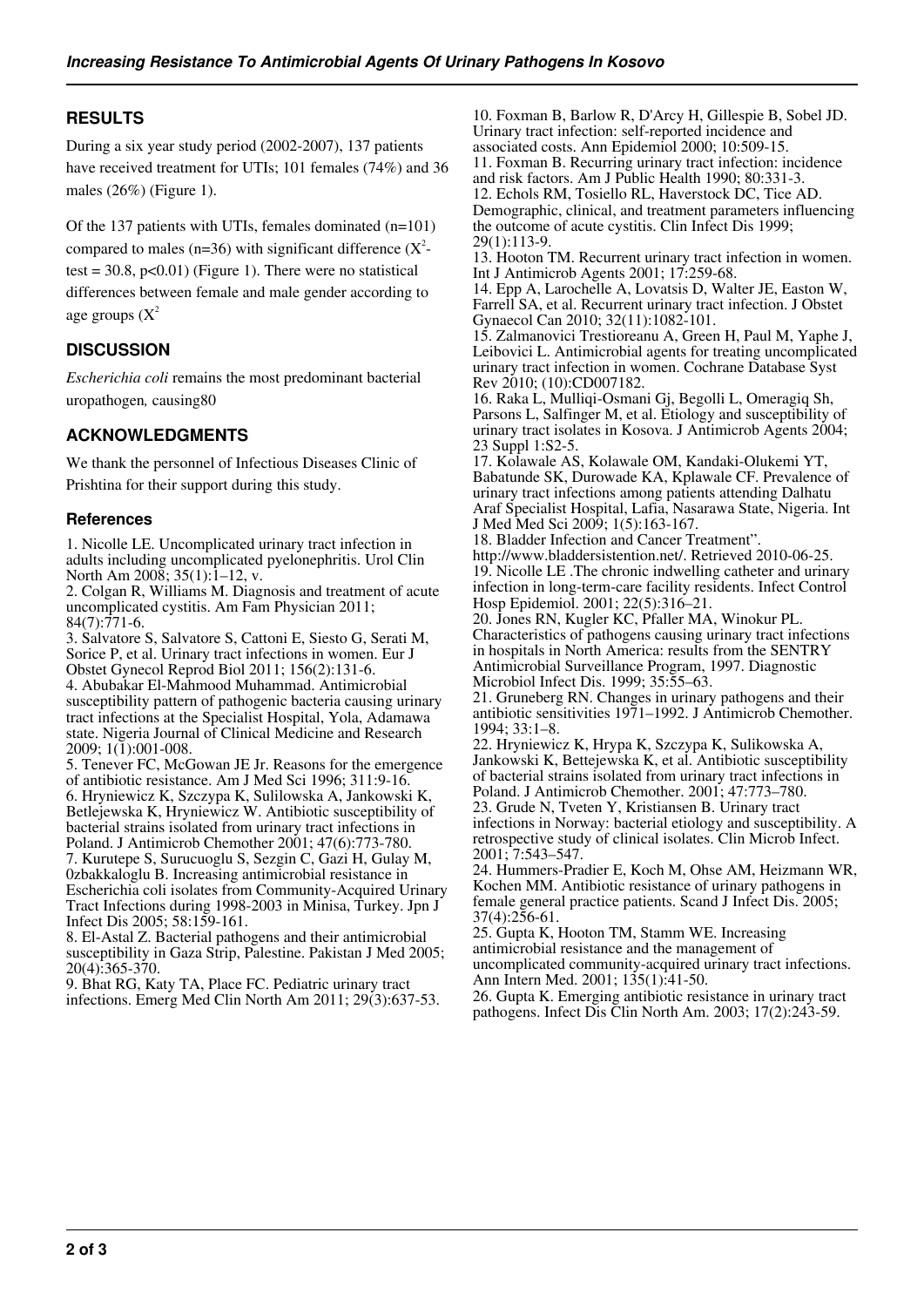# **RESULTS**

During a six year study period (2002-2007), 137 patients have received treatment for UTIs; 101 females (74%) and 36 males (26%) (Figure 1).

Of the 137 patients with UTIs, females dominated (n=101) compared to males (n=36) with significant difference  $(X^2$ test =  $30.8$ , p<0.01) (Figure 1). There were no statistical differences between female and male gender according to age groups  $(X^2)$ 

# **DISCUSSION**

*Escherichia coli* remains the most predominant bacterial uropathogen*,* causing80

# **ACKNOWLEDGMENTS**

We thank the personnel of Infectious Diseases Clinic of Prishtina for their support during this study.

## **References**

1. Nicolle LE. Uncomplicated urinary tract infection in adults including uncomplicated pyelonephritis. Urol Clin North Am 2008; 35(1):1-12, v.

2. Colgan R, Williams M. Diagnosis and treatment of acute uncomplicated cystitis. Am Fam Physician 2011;  $84(7)$ :771-6.

3. Salvatore S, Salvatore S, Cattoni E, Siesto G, Serati M, Sorice P, et al. Urinary tract infections in women. Eur J Obstet Gynecol Reprod Biol 2011; 156(2):131-6. 4. Abubakar El-Mahmood Muhammad. Antimicrobial susceptibility pattern of pathogenic bacteria causing urinary tract infections at the Specialist Hospital, Yola, Adamawa state. Nigeria Journal of Clinical Medicine and Research 2009; 1(1):001-008.

5. Tenever FC, McGowan JE Jr. Reasons for the emergence of antibiotic resistance. Am J Med Sci 1996; 311:9-16. 6. Hryniewicz K, Szczypa K, Sulilowska A, Jankowski K, Betlejewska K, Hryniewicz W. Antibiotic susceptibility of bacterial strains isolated from urinary tract infections in Poland. J Antimicrob Chemother 2001; 47(6):773-780. 7. Kurutepe S, Surucuoglu S, Sezgin C, Gazi H, Gulay M, 0zbakkaloglu B. Increasing antimicrobial resistance in Escherichia coli isolates from Community-Acquired Urinary Tract Infections during 1998-2003 in Minisa, Turkey. Jpn J Infect Dis 2005; 58:159-161.

8. El-Astal Z. Bacterial pathogens and their antimicrobial susceptibility in Gaza Strip, Palestine. Pakistan J Med 2005; 20(4):365-370.

9. Bhat RG, Katy TA, Place FC. Pediatric urinary tract infections. Emerg Med Clin North Am 2011; 29(3):637-53. 10. Foxman B, Barlow R, D'Arcy H, Gillespie B, Sobel JD. Urinary tract infection: self-reported incidence and associated costs. Ann Epidemiol 2000; 10:509-15.

11. Foxman B. Recurring urinary tract infection: incidence and risk factors. Am J Public Health 1990; 80:331-3. 12. Echols RM, Tosiello RL, Haverstock DC, Tice AD. Demographic, clinical, and treatment parameters influencing the outcome of acute cystitis. Clin Infect Dis 1999; 29(1):113-9.

13. Hooton TM. Recurrent urinary tract infection in women. Int J Antimicrob Agents 2001; 17:259-68.

14. Epp A, Larochelle A, Lovatsis D, Walter JE, Easton W, Farrell SA, et al. Recurrent urinary tract infection. J Obstet Gynaecol Can 2010; 32(11):1082-101.

15. Zalmanovici Trestioreanu A, Green H, Paul M, Yaphe J, Leibovici L. Antimicrobial agents for treating uncomplicated urinary tract infection in women. Cochrane Database Syst Rev 2010; (10):CD007182.

16. Raka L, Mulliqi-Osmani Gj, Begolli L, Omeragiq Sh, Parsons L, Salfinger M, et al. Etiology and susceptibility of urinary tract isolates in Kosova. J Antimicrob Agents 2004; 23 Suppl 1:S2-5.

17. Kolawale AS, Kolawale OM, Kandaki-Olukemi YT, Babatunde SK, Durowade KA, Kplawale CF. Prevalence of urinary tract infections among patients attending Dalhatu Araf Specialist Hospital, Lafia, Nasarawa State, Nigeria. Int J Med Med Sci 2009; 1(5):163-167.

18. Bladder Infection and Cancer Treatment". http://www.bladdersistention.net/. Retrieved 2010-06-25. 19. Nicolle LE .The chronic indwelling catheter and urinary infection in long-term-care facility residents. Infect Control Hosp Epidemiol. 2001; 22(5):316–21.

20. Jones RN, Kugler KC, Pfaller MA, Winokur PL. Characteristics of pathogens causing urinary tract infections in hospitals in North America: results from the SENTRY Antimicrobial Surveillance Program, 1997. Diagnostic Microbiol Infect Dis. 1999; 35:55–63.

21. Gruneberg RN. Changes in urinary pathogens and their antibiotic sensitivities 1971–1992. J Antimicrob Chemother. 1994; 33:1–8.

22. Hryniewicz K, Hrypa K, Szczypa K, Sulikowska A, Jankowski K, Bettejewska K, et al. Antibiotic susceptibility of bacterial strains isolated from urinary tract infections in Poland. J Antimicrob Chemother. 2001; 47:773–780. 23. Grude N, Tveten Y, Kristiansen B. Urinary tract infections in Norway: bacterial etiology and susceptibility. A

retrospective study of clinical isolates. Clin Microb Infect. 2001; 7:543–547.

24. Hummers-Pradier E, Koch M, Ohse AM, Heizmann WR, Kochen MM. Antibiotic resistance of urinary pathogens in female general practice patients. Scand J Infect Dis. 2005; 37(4):256-61.

25. Gupta K, Hooton TM, Stamm WE. Increasing antimicrobial resistance and the management of uncomplicated community-acquired urinary tract infections. Ann Intern Med. 2001; 135(1):41-50.

26. Gupta K. Emerging antibiotic resistance in urinary tract pathogens. Infect Dis Clin North Am. 2003; 17(2):243-59.